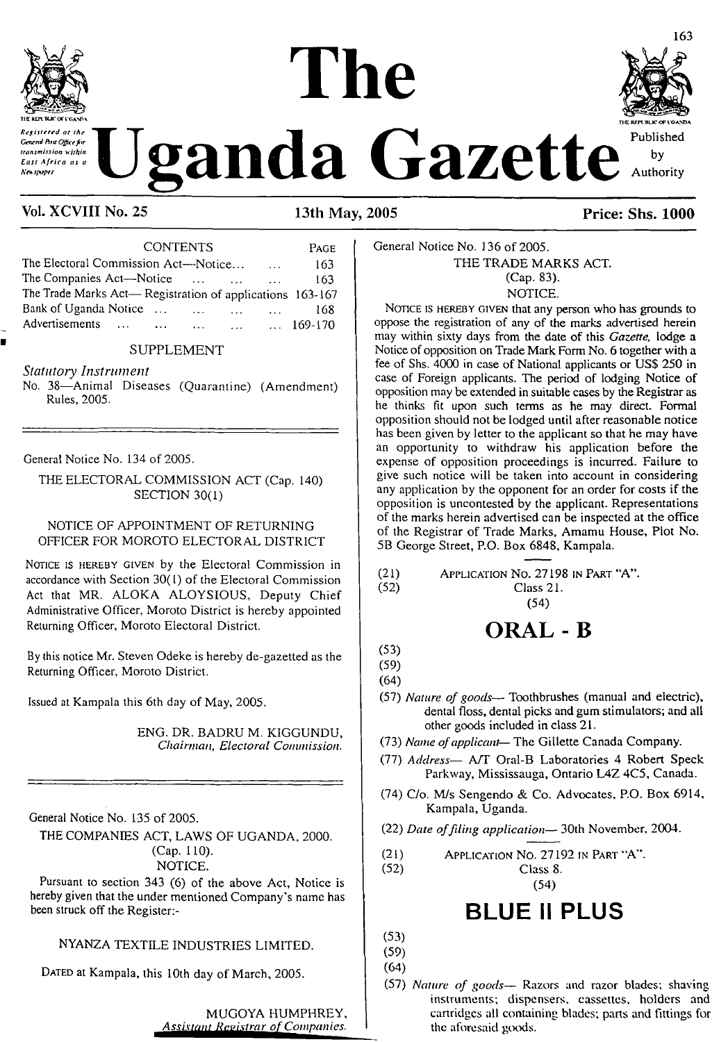



### **Vol. XCVIII No. 25 13th May, 2005 Price: Shs. 1000**

CONTENTS Page The Electoral Commission Act—Notice................ 163 The Companies Act—Notice ... ... ... 163 The Trade Marks Act— Registration of applications 163-167 Bank of Uganda Notice................ ................. <sup>168</sup> Advertisements ... ... ... ...

### SUPPLEMENT

*Statutory Instrument*

No. 38—Animal Diseases (Quarantine) (Amendment) Rules, 2005.

General Notice No. 134 of 2005.

THE ELECTORAL COMMISSION ACT (Cap. 140) SECTION 30(1)

### NOTICE OF APPOINTMENT OF RETURNING OFFICER FOR MOROTO ELECTORAL DISTRICT

NOTICE IS HEREBY GIVEN by the Electoral Commission in accordance with Section 30(1) of the Electoral Commission Act that MR. ALOKA ALOYSIOUS, Deputy Chief Administrative Officer, Moroto District is hereby appointed Returning Officer, Moroto Electoral District.

By this notice Mr. Steven Odeke is hereby de-gazetted as the Returning Officer, Moroto District.

Issued at Kampala this 6th day of May, 2005.

ENG. DR. BADRU M. KIGGUNDU, *Chairman, Electoral Commission.*

General Notice No. 135 of 2005.

THE COMPANIES ACT, LAWS OF UGANDA, 2000. (Cap. 110).

NOTICE.

Pursuant to section 343 (6) of the above Act, Notice is hereby given that the under mentioned Company's name has been struck off the Register:-

NYANZA TEXTILE INDUSTRIES LIMITED.

DATED at Kampala, this 10th day of March, 2005.

MUGOYA HUMPHREY, *Assistant Registrar o^ompanies*

### General Notice No. 136 of 2005. THE TRADE MARKS ACT. (Cap. 83). NOTICE.

NOTICE IS HEREBY GIVEN that any person who has grounds to oppose the registration of any of the marks advertised herein may within sixty days from the date of this *Gazette,* lodge a Notice of opposition on Trade Mark Form No. 6 together with a fee of Shs. 4000 in case of National applicants or USS 250 in case of Foreign applicants. The period of lodging Notice of opposition may be extended in suitable cases by the Registrar as he thinks fit upon such terms as he may direct. Formal opposition should not be lodged until after reasonable notice has been given by letter to the applicant so that he may have an opportunity to withdraw his application before the expense of opposition proceedings is incurred. Failure to give such notice will be taken into account in considering any application by the opponent for an order for costs if the opposition is uncontested by the applicant. Representations of the marks herein advertised can be inspected at the office of the Registrar of Trade Marks, Amamu House, Plot No. 5B George Street, P.O. Box 6848, Kampala.

| (21) | APPLICATION No. 27198 IN PART "A". |  |  |
|------|------------------------------------|--|--|
|      |                                    |  |  |

(52) Class 21.

### (54)

# **ORAL -<sup>B</sup>**

(53) (59)

(64)

- (57) *Nature of goods—* Toothbrushes (manual and electric), dental floss, dental picks and gum stimulators; and all other goods included in class 21.
- (73) *Name ofapplicant* The Gillette Canada Company.
- (77) *Address—* A/T Oral-B Laboratories 4 Robert Speck Parkway, Mississauga, Ontario L4Z 4C5, Canada.
- (74) C/o. M/s Sengendo & Co. Advocates, P.O. Box 6914, Kampala, Uganda.
- (22) *Date offiling application—* 30th November, 2004.
- (21) Application No. 27192 in Part "A".<br>(52) Class 8.

Class 8. (54)

# **BLUE II PLUS**

(53) (59)

(64)

(57) *Nature of goods—* Razors and razor blades; shaving instruments; dispensers, cassettes, holders and cartridges all containing blades; parts and fittings for the aforesaid goods.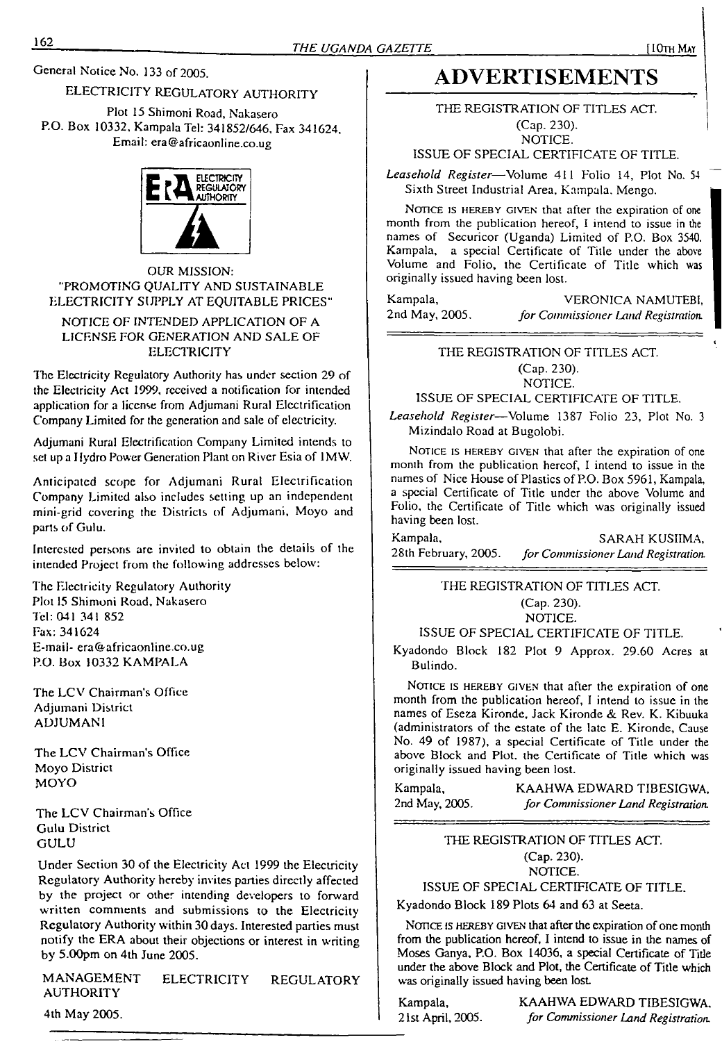General Notice No. 133 of 2005.

### ELECTRICITY REGULATORY AUTHORITY

Plot 15 Shimoni Road, Nakasero P.O. Box 10332, Kampala Tel: 341852/646, Fax 341624, Email: [era@africaonline.co.ug](mailto:era@africaonline.co.ug)



### OUR MISSION: "PROMOTING OUALITY AND SUSTAINABLE ELECTRICITY SUPPLY AT EQUITABLE PRICES"

### NOTICE OF INTENDED APPLICATION OF A LICENSE FOR GENERATION AND SALE OF **ELECTRICITY**

The Electricity Regulatory Authority has under section 29 of the Electricity Act 1999, received a notification for intended application for a license from Adjumani Rural Electrification Company Limited for the generation and sale of electricity.

Adjumani Rural Electrification Company Limited intends to set up a Hydro Power Generation Plant on River Esia of 1MW.

Anticipated scope for Adjumani Rural Electrification Company Limited also includes setting up an independent mini-grid covering the Districts of Adjumani, Moyo and parts of Gulu.

Interested persons are invited to obtain the details of the intended Project from the following addresses below:

The Electricity Regulatory Authority Plot <sup>15</sup> Shimoni Road, Nakasero Tel: 041 341 852 Fax: 341624 E-mail- [era@africaonline.co.ug](mailto:era@africaonline.co.ug) P.O. Box 10332 KAMPALA

The LCV Chairman's Office Adjumani District ADJUMANI

The LCV Chairman's Office Moyo District MOYO

The LCV Chairman's Office Gulu District GULU

Under Section 30 of the Electricity Act 1999 the Electricity Regulatory Authority hereby invites parties directly affected by the project or other intending developers to forward written comments and submissions to the Electricity Regulatory Authority within 30 days. Interested parties must notify the ERA about their objections or interest in writing by 5.00pm on 4th June 2005.

MANAGEMENT ELECTRICITY REGULATORY AUTHORITY

### 4th May 2005.

# **ADVERTISEMENTS**

THE REGISTRATION OF TITLES ACT. (Cap. 230). NOTICE.

ISSUE OF SPECIAL CERTIFICATE OF TITLE.

*Leasehold Register*—Volume 411 Folio 14, Plot No. <sup>54</sup> Sixth Street Industrial Area, Kampala. Mengo.

NOTICE IS HEREBY GIVEN that after the expiration of one month from the publication hereof, I intend to issue in the names of Securicor (Uganda) Limited of P.O. Box 3540. Kampala, a special Certificate of Title under the above Volume and Folio, the Certificate of Title which was originally issued having been lost.

Kampala, VERONICA NAMUTEBI,<br>2nd May, 2005. *for Commissioner Land Registration* 2nd May, 2005. *for Commissioner Land Registration.*

THE REGISTRATION OF TITLES ACT.

(Cap. 230).

NOTICE. ISSUE OF SPECIAL CERTIFICATE OF TITLE.

*Leasehold Register—*Volume 1387 Folio 23, Plot No. <sup>3</sup> Mizindalo Road at Bugolobi.

NOTICE IS HEREBY GIVEN that after the expiration of one month from the publication hereof, I intend to issue in the names of Nice House of Plastics of P.O. Box 5961, Kampala, a special Certificate of Title under the above Volume and Folio, the Certificate of Title which was originally issued having been lost.

Kampala, SARAH KUSIIMA, SARAH KUSIIMA, 28th February, 2005. for Commissioner Land Registration. 28th February, 2005. *for Commissioner Land Registration.*

> THE REGISTRATION OF TITLES ACT. (Cap. 230). NOTICE.

ISSUE OF SPECIAL CERTIFICATE OF TITLE.

Kyadondo Block 182 Plot 9 Approx. 29.60 Acres at Bulindo.

NOTICE IS HEREBY GIVEN that after the expiration of one month from the publication hereof, I intend to issue in the names of Eseza Kironde, Jack Kironde & Rev. K. Kibuuka (administrators of the estate of the late E. Kironde, Cause No. 49 of 1987), a special Certificate of Title under the above Block and Plot, the Certificate of Title which was originally issued having been lost.

Kampala, KAAHWA EDWARD TIBESIGWA, 2nd May, 2005. *for Commissioner Land Registration.*

### THE REGISTRATION OF TITLES ACT. (Cap. 230). NOTICE.

### ISSUE OF SPECIAL CERTIFICATE OF TITLE.

Kyadondo Block 189 Plots 64 and 63 at Seeta.

NOTICE IS HEREBY GIVEN that after the expiration of one month from the publication hereof, I intend to issue in the names of Moses Ganya, P.O. Box 14036, a special Certificate of Title under the above Block and Plot, the Certificate of Title which was originally issued having been lost

Kampala, KAAHWA EDWARD TIBESIGWA, 21st April, 2005. *for Commissioner Land Registration.*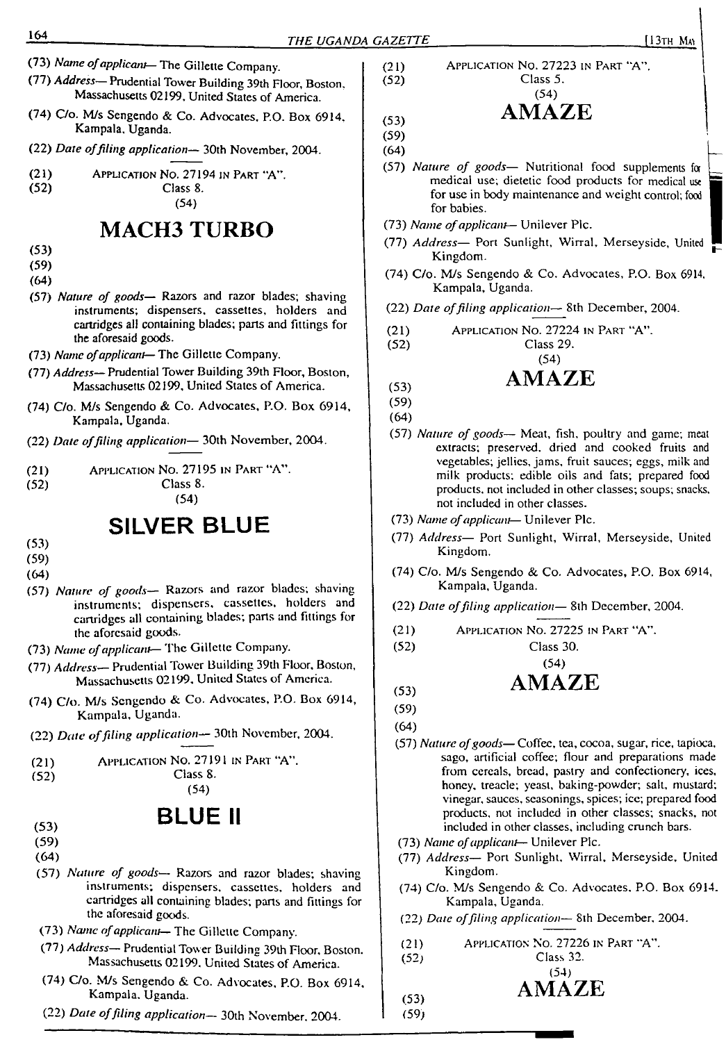- (73) *Name ofapplicant*—The Gillette Company.
- (77) *Address—* Prudential Tower Building 39th Floor, Boston, Massachusetts 02199, United States of America.
- (74) C/o. M/s Sengendo & Co. Advocates, P.O. Box 6914, Kampala, Uganda.
- (22) *Date offiling application—* 30th November, 2004.
- (21) Application No. 27194 in Part "A".<br>(52) Class 8.

# **MACH3 TURBO**

Class 8. (54)

- (53)
- (59)
- (64)
- (57) *Nature of goods—* Razors and razor blades; shaving instruments; dispensers, cassettes, holders and cartridges all containing blades; parts and fittings for the aforesaid goods.
- (73) *Name ofapplicant—* The Gillette Company.
- (77) *Address—* Prudential Tower Building 39th Floor, Boston, Massachusetts 02199, United States of America.
- (74) C/o. M/s Sengendo & Co. Advocates, P.O. Box 6914, Kampala. Uganda.
- (22) *Date offiling application—* 30th November, 2004.
- (21) Application No. 27195 in Part "A".
- 

Class 8. (54)

# **SILVER BLUE**

- (53)
- (59)
- (64)
- (57) *Nature of goods—* Razors and razor blades; shaving instruments; dispensers, cassettes, holders and cartridges all containing blades; parts and fittings for the aforesaid goods.
- (73) *Name ofapplicant—* The Gillette Company.
- (77) *Address—* Prudential Tower Building 39th Floor, Boston, Massachusetts 02199, United States of America.
- (74) C/o. M/s Sengendo & Co. Advocates, P.O. Box 6914, Kampala, Uganda.
- (22) *Date offiling application—* 30th November, 2004.
- (21) Application No. 27191 in Part "A".

| (52) | Class 8. |
|------|----------|
|      | (54)     |

- **BLUE II**
- 
- (59)
- (64)
- (57) *Nature of goods—* Razors and razor blades; shaving instruments; dispensers, cassettes, holders and cartridges all containing blades; parts and fittings for the aforesaid goods.
- (73) *Name ofapplicant* The Gillette Company.
- (77) *Address—* Prudential Tower Building 39th Floor, Boston. Massachusetts 02199. United States of America.
- (74) C/o. M/s Sengendo & Co. Advocates, P.O. Box 6914, Kampala, Uganda.
- (22) *Date offiling application—* 30th November, 2004.

(21) Application No. 27223 in Part "A", |  $(52)$  Class 5.

(54)

- **(53) AMAZE**
- (59) (64)
- (57) *Nature of goods—* Nutritional food supplements for \_\_ medical use; dietetic food products for medical use 2 for use in body maintenance and weight control; food for babies.
- (73) *Name of applicant* Unilever Plc.
- (77) *Address* Port Sunlight, Wirral, Merseyside, United Kingdom.
- (74) C/o. M/s Sengendo & Co. Advocates, P.O. Box 6914. Kampala, Uganda.
- (22) *Date offiling application* 8th December, 2004.
- (21) Application No. 27224 in Part "A".<br>(52) Class 29.
	- Class 29.

### (54) **(53) AMAZE**

$$
\mathbf{A}^{\mathbf{A}}
$$

- 
- (57) *Nature of goods—* Meat, fish, poultry and game; meat extracts; preserved, dried and cooked fruits and vegetables; jellies, jams, fruit sauces; eggs, milk and milk products; edible oils and fats; prepared food products, not included in other classes; soups; snacks, not included in other classes.
- (73) *Name ofapplicant* Unilever Pic.
- (77) *Address—* Port Sunlight, Wirral, Merseyside, United Kingdom.
- (74) C/o. M/s Sengendo & Co. Advocates, P.O. Box 6914, Kampala, Uganda.
- (22) *Date offiling application—* 8th December, 2004.
- (21) Application No. 27225 in Part "A".

(52) Class 30.

- (54)
- **(53) AMAZE**
- (59)
- (64)
- (57) *Nature ofgoods—* Coffee, tea, cocoa, sugar, rice, tapioca, sago, artificial coffee; flour and preparations made from cereals, bread, pastry and confectionery, ices, honey, treacle; yeast, baking-powder; salt, mustard; vinegar, sauces, seasonings, spices; ice; prepared food products, not included in other classes; snacks, not included in other classes, including crunch bars.
- (73) *Name ofapplicant* Unilever Pic.
- (77) *Address—* Port Sunlight, Wirral, Merseyside, United Kingdom.
- (74) C/o. M/s Sengendo &. Co. Advocates, P.O. Box 6914. Kampala, Uganda.
- <sup>i</sup> (22) *Date offiling application—* 8th December, 2004.
- (21) Application No. 27226 in Part "A".

(52) Class 32. (54)

- **AMAZE**
- $(53)$  $(59)$
- 
- (59) (64)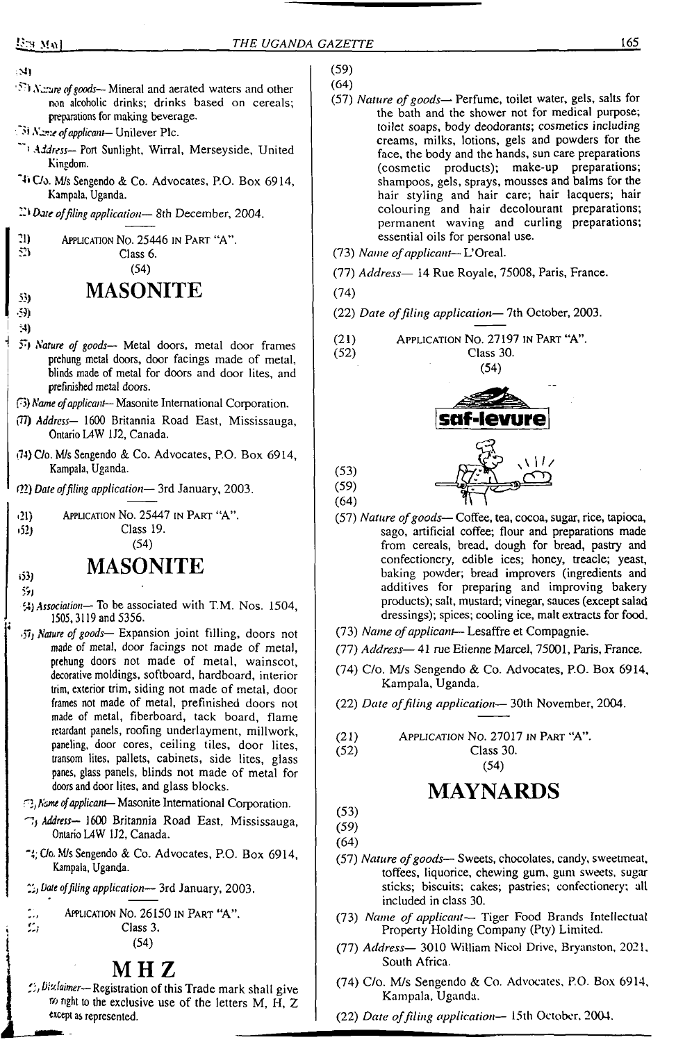En Mal

- $\mathbf{M}$
- *i*<sup>77</sup>) *Nature of goods* Mineral and aerated waters and other non alcoholic drinks; drinks based on cereals; preparations for making beverage.
- *•'» Nime ofapplicant—* Unilever Pic.
- *'' Address—* Port Sunlight, Wirral, Merseyside, United Kingdom.
- 4\* C/o. M/s Sengendo & Co. Advocates, P.O. Box 6914, Kampala, Uganda.
- *Dare offiling application—* 8th December, 2004.
- <sup>21</sup> Application No. 25446 in Part "A".<br> $\frac{52}{2}$

Class 6. (54)

# **55) MASONITE**

- •59)
- :4)
- *>) Nature of goods—* Metal doors, metal door frames prehung metal doors, door facings made of metal, blinds made of metal for doors and door lites, and prefinished metal doors.
- (3) *Name ofapplicant—* Masonite International Corporation.
- (77) *Address—* 1600 Britannia Road East, Mississauga, Ontario L4W 1J2, Canada.
- (14) C/o. M/s Sengendo & Co. Advocates, P.O. Box 6914, Kampala, Uganda.
- *(22) Date offiling application—* 3rd January, 2003
- •21) <sup>A</sup>pplication No. 25447 in Part "A".

•52) Class 19.

### (54)

# i53) **MASONITE**

- 551
- *<sup>C</sup>A) Association—* To be associated with T.M. Nos. 1504, 1505,3119 and 5356.
- <57j *Nature of goods—* Expansion joint filling, doors not made of metal, door facings not made of metal, prehung doors not made of metal, wainscot, decorative moldings, softboard, hardboard, interior trim, exterior trim, siding not made of metal, door frames not made of metal, prefinished doors not made of metal, fiberboard, tack board, flame retardant panels, roofing underlayment, millwork, paneling, door cores, ceiling tiles, door lites, transom lites, pallets, cabinets, side lites, glass panes, glass panels, blinds not made of metal for doors and door lites, and glass blocks.

*'2flame ofapplicant—* Masonite International Corporation.

- ""b *Address—* 1600 Britannia Road East, Mississauga, Ontario L4W 1J2, Canada.
- '4; C/o. M/s Sengendo & Co. Advocates, P.O. Box 6914, Kampala, Uganda.
- *Date offiling application—* 3rd January, 2003.



### **M H Z**

*"^Disclaimer—*Registration of this Trade mark shall give  $\infty$  nght to the exclusive use of the letters M, H, Z except as represented.

- (59)
- (64)
- (57) *Nature ofgoods—* Perfume, toilet water, gels, salts for the bath and the shower not for medical purpose; toilet soaps, body deodorants; cosmetics including creams, milks, lotions, gels and powders for the face, the body and the hands, sun care preparations (cosmetic products); make-up preparations; shampoos, gels, sprays, mousses and balms for the hair styling and hair care; hair lacquers; hair colouring and hair decolourant preparations; permanent waving and curling preparations; essential oils for personal use.
- (73) *Name ofapplicant—* L'Oreal.
- (77) *Address—* 14 Rue Royale, 75008, Paris, France.
- (74)
- (22) *Date offiling application—* 7th October, 2003.
- (21) Application No. 27197 in Part "A". Class 30. (54)



(53)

- (59)
- (64)
- (57) *Nature ofgoods—* Coffee, tea, cocoa, sugar, rice, tapioca, sago, artificial coffee; flour and preparations made from cereals, bread, dough for bread, pastry and confectionery, edible ices; honey, treacle; yeast, baking powder; bread improvers (ingredients and additives for preparing and improving bakery products); salt, mustard; vinegar, sauces (except salad dressings); spices; cooling ice, malt extracts for food.
- (73) *Name ofapplicant—* Lesaffre et Compagnie.
- (77) *Address—* 41 rue Etienne Marcel, 75001, Paris, France.
- (74) C/o. M/s Sengendo & Co. Advocates, P.O. Box 6914, Kampala, Uganda.
- (22) *Date offiling application—* 30th November, 2004.
- (21) Application No. 27017 in Part "A".<br>(52) Class 30.

Class 30. (54)

# **MAYNARDS**

(53)

(59) (64)

- (57) *Nature ofgoods—* Sweets, chocolates, candy, sweetmeat, toffees, liquorice, chewing gum, gum sweets, sugar sticks; biscuits; cakes; pastries; confectionery; all included in class 30.
- (73) *Name of applicant* Tiger Food Brands Intellectual Property Holding Company (Pty) Limited.
- (77) *Address—* 3010 William Nicol Drive, Bryanston, 2021, South Africa.
- (74) C/o. M/s Sengendo & Co. Advocates, P.O. Box 6914, Kampala, Uganda.
- (22) *Date offiling application—* 15th October, 2004.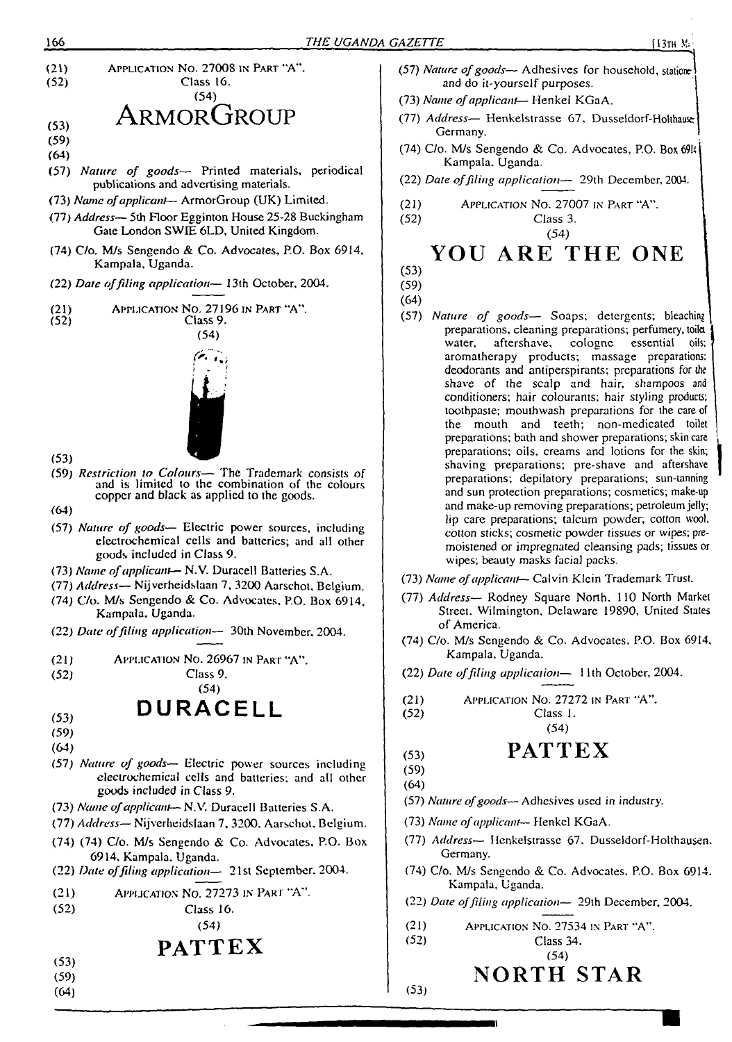- 166 *THE UGANDA GAZETTE* (13th **M;** (21) (52) (53) (59) (64) (57) *Nature of goods—* Printed materials, periodical Application No. 27008 in Part "A". Class 16. (54) **ARMORGROUP** publications and advertising materials. (73) *Name ofapplicant—* ArmorGroup (UK) Limited. (77) *Address—* 5th Floor Egginton House 25-28 Buckingham Gate London SWIE 6LD, United Kingdom. (74) C/o, M/s Sengendo & Co. Advocates, P.O. Box 6914, Kampala, Uganda. (22) *Date offiling application—* 13th October, 2004. (21) (52) (53) (59) *Restriction to Colours—* The Trademark consists of Application No. 27196 in Part "A". Class 9. (54) and is limited to the combination of the colours copper and black as applied to the goods. (64) (57) *Nature of goods—* Electric power sources, including electrochemical cells and batteries; and all other goods included in Class 9. (73) *Name ofapplicant*— N.V. Duracell Batteries S.A. (77) *Address—* Nijverheidslaan 7, 3200 Aarschot, Belgium. (74) C/o. M/s Sengendo & Co. Advocates. P.O. Box 6914, Kampala, Uganda.
	- (22) *Date offiling application—* 30th November. 2004.
	- (21) Application No. 26967 in Part "A".

Class 9.

## (54)  $(53)$  DURACELL

(59)

(52)

- (64)
- (57) *Nature of goods—* Electric power sources including electrochemical cells and batteries; and all other goods included in Class 9.
- (73) *Name ofapplicant—* N.V. Duracell Batteries S.A.
- (77) *Address—* Nijverheidslaan 7, 3200. Aarschot. Belgium.
- (74) (74) C/o. M/s Sengendo & Co. Advocates. P.O. Box 6914. Kampala, Uganda.
- (22) *Date offiling application—* 21st September. 2004.
- (21) Application No. 27273 in Pari "A".

Class 16.

# (54)

- **PATTEX**
- (53) (59)

(52)

(64)

- (57) *Nature of goods* Adhesives for household, stationer and do it-yourself purposes.
- (73) *Name ofapplicant—* Henkel KGaA. <sup>I</sup>
- (77) Address- Henkelstrasse 67. Dusseldorf-Holthause Germany.
- (74) C/o. M/s Sengendo & Co. Advocates. P.O. Box 69U Kampala. Uganda.
- (22) *Date offiling application—* 29th December, 2004.
- (21) (52) Application No. 27007 in Part "A".

Class 3. (54)

# **YOU ARE THE ONE**

(53) (59)

(64)

- (57) *Nature of goods—* Soaps; detergents; bleaching preparations, cleaning preparations; perfumery, toila water, aftershave, cologne essential oils; aromatherapy products; massage preparations; deodorants and antiperspirants; preparations for the shave of the scalp and hair, shampoos and conditioners; hair colourants; hair styling products; toothpaste; mouthwash preparations for the care of the mouth and teeth; non-medicated toilet preparations; bath and shower preparations; skincare preparations; oils, creams and lotions for the skin; shaving preparations; pre-shave and aftershave preparations; depilatory preparations; sun-tanning and sun protection preparations; cosmetics; make-up and make-up removing preparations; petroleum jelly; lip care preparations; talcum powder; cotton wool, cotton sticks; cosmetic powder tissues or wipes; premoistened or impregnated cleansing pads; tissues or wipes; beauty masks facial packs.
- (73) *Name ofapplicant—* Calvin Klein Trademark Trust.
- (77) *Address—* Rodney Square North, 110 North Market Street. Wilmington, Delaware 19890, United States of America.
- (74) C/o. M/s Sengendo & Co. Advocates, P.O. Box 6914, Kampala, Uganda.
- (22) *Date offiling application—* 11th October, 2004.
- Application No. 27272 in Part "A". (21) (52)
	- Class 1. (54)

## **PATTEX**

(53) (59) (64)

(52)

(53)

- (57) *Nature ofgoods—* Adhesives used in industry.
- (73) *Name ofapplicant—* Henkel KGaA.
- (77) *Address—* Henkelstrasse 67. Dusseldorf-Holthausen. Germany.
- (74) C/o. M/s Sengendo & Co. Advocates. P.O. Box 6914. Kampala, Uganda.
- (22) *Dare offiling application—* 29th December, 2004.
- $(21)$ Application No. 27534 in Part "A".
	- Class 34.
		- (54)

# **NORTH STAR**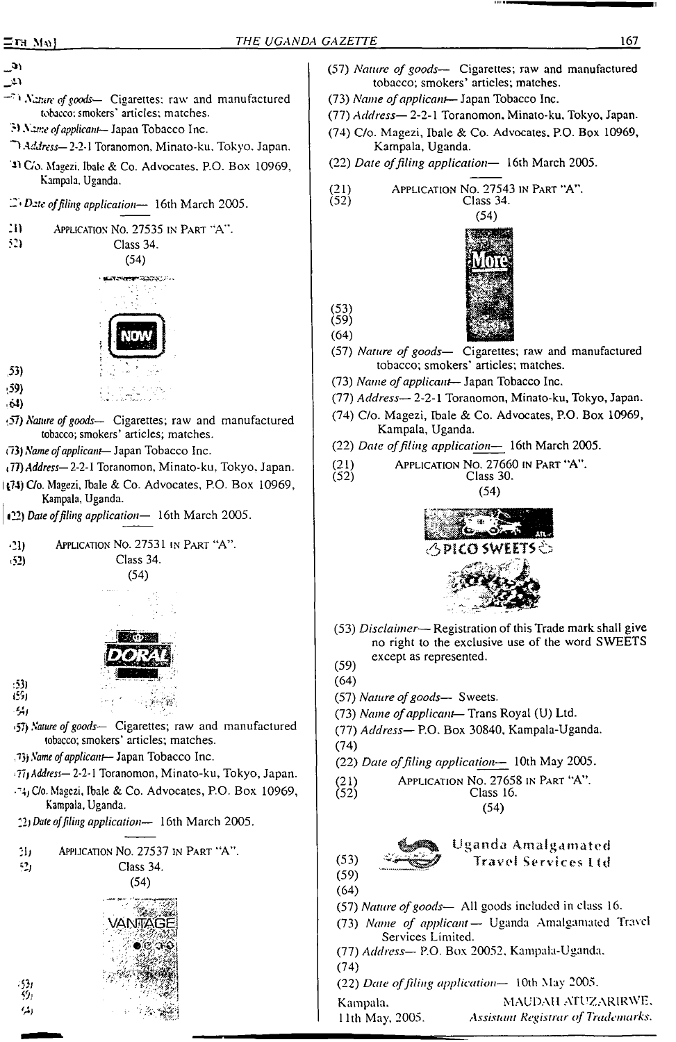$\mathbf{a}$ 

- $\mathfrak{L}$
- *' Nature ofgoods—* Cigarettes: raw and manufactured tobacco: smokers' articles; matches.
- *?) Name ofapplicant—* Japan Tobacco Inc.
- *"4 Address—2-2-\* Toranomon, Minato-ku. Tokyo. Japan.
- '4) C'o. Magezi. Ibale & Co. Advocates. P.O. Box 10969, Kampala. Uganda.
- *Date of filing application—* 16th March 2005.



<sup>1</sup>22) *Date offiling application—* 16th March 2005.



 $(52)$  Class 34.

:53)

-53/

(54)



- lib ' : /'."■< Si: **<4/ ■ <- '** •57) *Nature ofgoods—* Cigarettes; raw and manufactured
- tobacco; smokers' articles; matches.
- *Tty Name ofapplicant— Japan* Tobacco Inc.
- *• Tif Address—* 2-2-1 Toranomon, Minato-ku, Tokyo, Japan.
- .y C/o. Magezi, Ibale & Co. Advocates, P.O. Box 10969, Kampala, Uganda.
- 22; *Date offiling application—* 16th March 2005.





- (57) *Nature of goods—* Cigarettes; raw and manufactured tobacco; smokers' articles; matches.
- (73) *Name ofapplicant* Japan Tobacco Inc.
- (77) *Address—* 2-2-1 Toranomon. Minato-ku, Tokyo, Japan.
- (74) C/o. Magezi, Ibale & Co. Advocates. P.O. Box 10969, Kampala, Uganda.
- (22) *Date offiling application—* 16th March 2005.

(21) Application No. 27543 in Part "A". (52) Class 34.



(59) (64)

(53)

(57) *Nature of goods—* Cigarettes; raw and manufactured tobacco; smokers' articles; matches.

- (73) *Name ofapplicant* Japan Tobacco Inc.
- (77) *Address—* 2-2-1 Toranomon, Minato-ku, Tokyo, Japan.
- (74) C/o. Magezi, Ibale & Co. Advocates, P.O. Box 10969, Kampala, Uganda.
- (22) *Date offiling application—* 16th March 2005.
- (21) Application No. 27660 in Part "A". Class 30.



- (53) *Disclaimer-* Registration ofthis Trade mark shall give no right to the exclusive use of the word SWEETS except as represented.<br>(59)
- 
- (64) (57) *Nature ofgoods—* Sweets.
- (73) *Name ofapplicant—* Trans Royal (U) Ltd.
- (77) *Address—* P.O. Box 30840, Kampala-Uganda.
- (74)
- (22) *Date offiling application—* 10th May 2005.
- (21) Application No. 27658 in Part "A".<br>(52) Class 16. Class 16.

(54)

(53)

### Uganda Amalgamated Travel Services Itd

- (59) (64)
	- (57) *Nature ofgoods-* All goods included in class 16.
	- (73) *Name of applicant—* Uganda Amalgamated Travel Services Limited.
	- (77) *Address—* P.O. Box 20052, Kampala-Uganda.
	- (74)
	- (22) *Date offiling application—* 10th May 2005.
	- Kampala. <sup>I</sup> 11th May, 2005. MAUDAlI ATUZARIRWE, *Assistant Registrar of Trademarks.*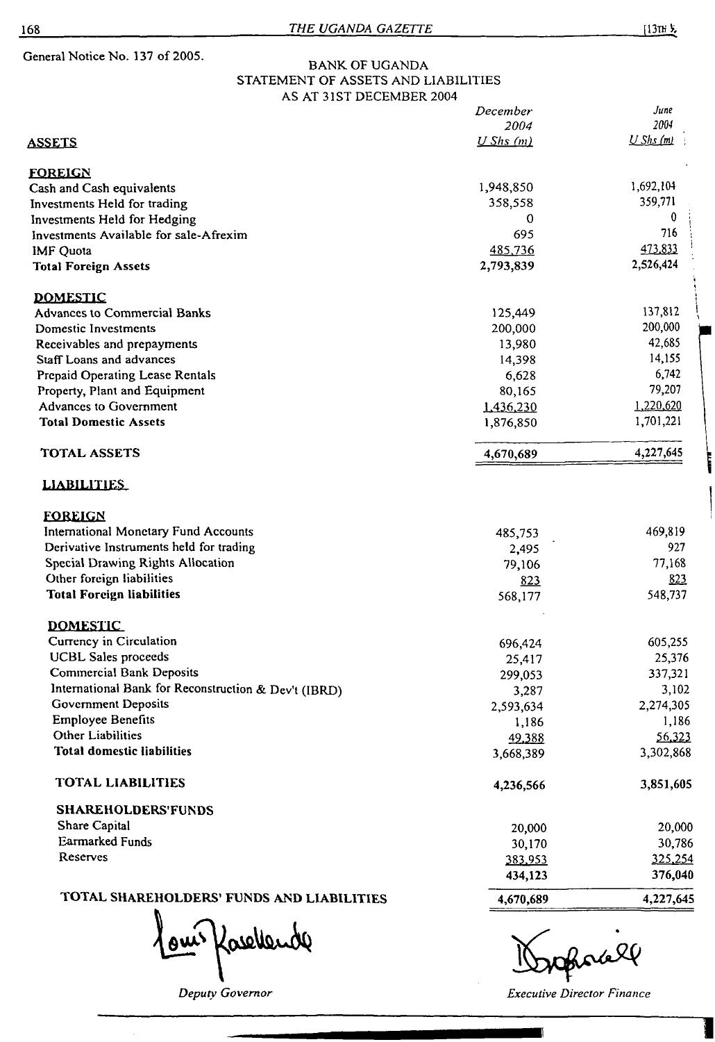General Notice No. 137 of 2005.

### BANK OF UGANDA STATEMENT OF ASSETS AND LIABILITIES AS AT 31ST DECEMBER 2004

|                                                      | December   | June             |
|------------------------------------------------------|------------|------------------|
|                                                      | 2004       | 2004             |
| <u>assets</u>                                        | $UShs$ (m) | U Shs(m)         |
| <b>FOREIGN</b>                                       |            |                  |
| Cash and Cash equivalents                            | 1,948,850  | 1,692,104        |
| Investments Held for trading                         | 358,558    | 359,771          |
| Investments Held for Hedging                         | 0          | 0                |
| Investments Available for sale-Afrexim               | 695        | 716              |
| <b>IMF Quota</b>                                     | 485,736    | 473,833          |
| <b>Total Foreign Assets</b>                          | 2,793,839  | 2,526,424        |
| <b>DOMESTIC</b>                                      |            |                  |
| <b>Advances to Commercial Banks</b>                  | 125,449    | 137,812          |
| Domestic Investments                                 | 200,000    | 200,000          |
| Receivables and prepayments                          | 13,980     | 42,685<br>14,155 |
| Staff Loans and advances                             | 14,398     |                  |
| Prepaid Operating Lease Rentals                      | 6,628      | 6,742            |
| Property, Plant and Equipment                        | 80,165     | 79,207           |
| <b>Advances to Government</b>                        | 1,436,230  | 1,220,620        |
| <b>Total Domestic Assets</b>                         | 1,876,850  | 1,701,221        |
| <b>TOTAL ASSETS</b>                                  | 4,670,689  | 4,227,645        |
| <b>LIABILITIES</b>                                   |            |                  |
| <b>FOREIGN</b>                                       |            |                  |
| <b>International Monetary Fund Accounts</b>          | 485,753    | 469,819          |
| Derivative Instruments held for trading              | 2,495      | 927              |
| Special Drawing Rights Allocation                    | 79,106     | 77,168           |
| Other foreign liabilities                            | 823        | 823              |
| <b>Total Foreign liabilities</b>                     | 568,177    | 548,737          |
| <b>DOMESTIC.</b>                                     |            |                  |
| Currency in Circulation                              | 696,424    | 605,255          |
| <b>UCBL Sales proceeds</b>                           | 25,417     | 25,376           |
| <b>Commercial Bank Deposits</b>                      | 299,053    | 337,321          |
| International Bank for Reconstruction & Dev't (IBRD) | 3,287      | 3,102            |
| <b>Government Deposits</b>                           | 2,593,634  | 2,274,305        |
| <b>Employee Benefits</b>                             | 1,186      | 1,186            |
| Other Liabilities                                    | 49.388     | 56,323           |
| <b>Total domestic liabilities</b>                    | 3,668,389  | 3,302,868        |
| TOTAL LIABILITIES                                    | 4,236,566  | 3,851,605        |
| <b>SHAREHOLDERS'FUNDS</b>                            |            |                  |
| Share Capital                                        | 20,000     | 20,000           |
| <b>Earmarked Funds</b>                               | 30,170     | 30,786           |
| Reserves                                             | 383,953    | 325,254          |
|                                                      | 434,123    | 376,040          |
| TOTAL SHAREHOLDERS' FUNDS AND LIABILITIES            | 4,670,689  | 4,227,645        |

Kavellende

Oforall

*Deputy Governor Executive Director Finance*

Т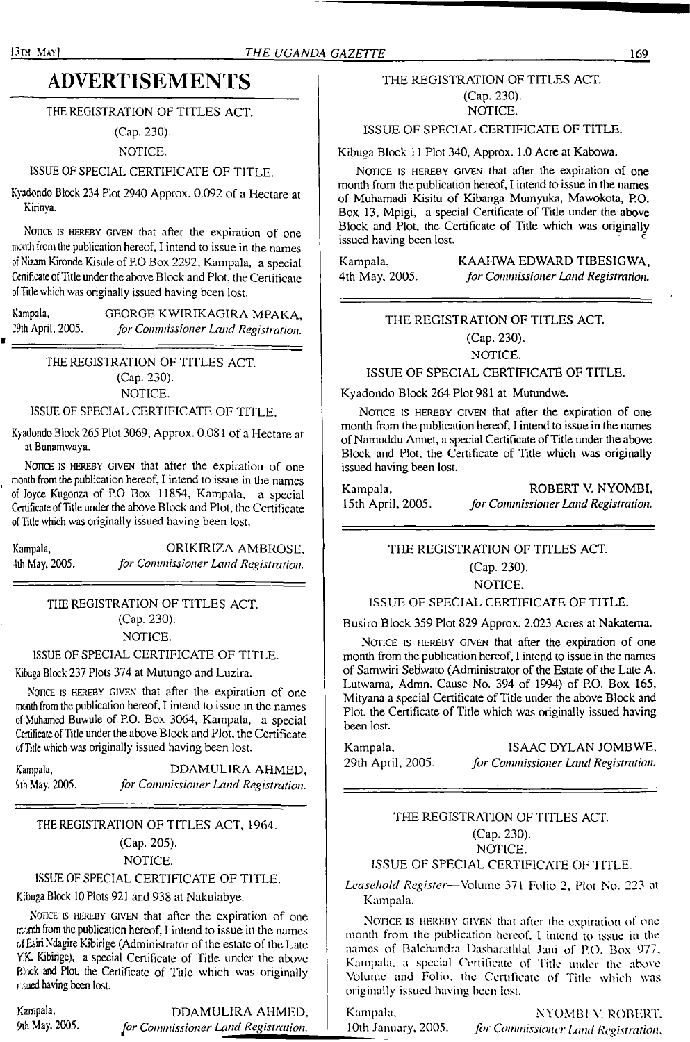#### 13th May) *THE UGANDA GAZETTE*

## **ADVERTISEMENTS**

THE REGISTRATION OF TITLES ACT.

(Cap. 230).

### NOTICE.

### ISSUE OF SPECIAL CERTIFICATE OF TITLE.

Kyadondo Block 234 Plot 2940 Approx. 0.092 of a Hectare at Kirinya.

NOTICE IS HEREBY GIVEN that after the expiration of one month from the publication hereof, I intend to issue in the names of Nizam Kironde Kisule of P.O Box 2292, Kampala, a special Cenificate of Title under the above Block and Plot, the Certificate ofTitle which was originally issued having been lost.

Kampala, GEORGE KWIRIKAGIRA MPAKA,<br>29th April, 2005. *for Commissioner Land Registration*. 29th April, 2005. *for Commissioner Land Registration.*

> THE REGISTRATION OF TITLES ACT. (Cap. 230). NOTICE.

### ISSUE OF SPECIAL CERTIFICATE OF TITLE.

Kjadondo Block 265 Plot 3069, Approx. 0.081 of a Hectare at at Bunamwaya.

NOTICE IS HEREBY GIVEN that after the expiration of one month from the publication hereof, I intend to issue in the names of Joyce Kugonza of P.O Box 11854, Kampala, a special Certificate of Title under the above Block and Plot, the Certificate ofTitle which was originally issued having been lost.

Kampala, ORIKIRIZA AMBROSE, 4th May, 2005. *for Commissioner Land Registration.*

> THE REGISTRATION OF TITLES ACT. (Cap. 230). NOTICE.

### ISSUE OF SPECIAL CERTIFICATE OF TITLE.

Kibuga Block 237 Plots 374 at Mutungo and Luzira.

NOTICE IS HEREBY GIVEN that after the expiration of one month from the publication hereof, I intend to issue in the names of Muhamed Buwule of P.O. Box 3064, Kampala, a special Certificate of Title under the above Block and Plot, the Certificate ofTide which was originally issued having been lost.

Kampala, DDAMULIRA AHMED, 9th May, 2005. *for Commissioner Land Registration.*

### THE REGISTRATION OF TITLES ACT, 1964. (Cap. 205). NOTICE.

### ISSUE OF SPECIAL CERTIFICATE OF TITLE.

Kibuga Block 10 Plots 921 and 938 at Nakulabye.

NOTICE IS HEREBY GIVEN that after the expiration of one month from the publication hereof, <sup>I</sup> intend to issue in the names of Esiri Ndagire Kibirige (Administrator of the estate of the Late YK Kibirige), a special Certificate of Title under the above Block and Plot, the Certificate of Title which was originally issued having been lost.

Kampala, DDAMULIRA AHMED, 9lh May, 2005. *for Commissioner Land Registration.*

### THE REGISTRATION OF TITLES ACT. (Cap. 230).

NOTICE.

### ISSUE OF SPECIAL CERTIFICATE OF TITLE.

Kibuga Block 11 Plot 340, Approx. 1.0 Acre at Kabowa.

NOTICE IS HEREBY GIVEN that after the expiration of one month from the publication hereof, I intend to issue in the names of Muhamadi Kisitu of Kibanga Mumyuka, Mawokota, P.O. Box 13, Mpigi, a special Certificate of Title under the above Block and Plot, the Certificate of Title which was originally issued having been lost.

Kampala, KAAHWA EDWARD TIBESIGWA,<br>4th May, 2005. *for Commissioner Land Registration*. 4th May, 2005. *for Commissioner Land Registration.*

### THE REGISTRATION OF TITLES ACT. (Cap. 230).

NOTICE.

ISSUE OF SPECIAL CERTIFICATE OF TITLE.

Kyadondo Block 264 Plot 981 at Mutundwe.

NOTICE IS HEREBY GIVEN that after the expiration of one month from the publication hereof, I intend to issue in the names of Namuddu Annet, a special Certificate of Title under the above Block and Plot, the Certificate of Title which was originally issued having been lost.

Kampala, ROBERT V. NYOMBI, 15th April, 2005. *for Commissioner Land Registration.*

#### THE REGISTRATION OF TITLES ACT.

(Cap. 230).

NOTICE.

#### ISSUE OF SPECIAL CERTIFICATE OF TITLE.

Busiro Block 359 Plot 829 Approx. 2.023 Acres at Nakatema.

NOTICE IS HEREBY GIVEN that after the expiration of one month from the publication hereof, I intend to issue in the names of Samwiri Sebwato (Administrator of the Estate of the Late A. Lutwama, Admn. Cause No. 394 of 1994) of P.O. Box 165, Mityana a special Certificate of Title under the above Block and Plot, the Certificate of Title which was originally issued having been lost.

Kampala, **ISAAC DYLAN JOMBWE**, 29th April, 2005. *for Commissioner Land Registration.*

### THE REGISTRATION OF TITLES ACT. (Cap. 230). NOTICE.

### ISSUE OF SPECIAL CERTIFICATE OF TITLE.

*Leasehold Register—*Volume 371 Folio 2, Plot No. 223 at Kampala.

NOTICE IS HEREBY GIVEN that after the expiration of one month from the publication hereof. I intend to issue in the names of Balchandra Dasharathlal Jani of P.O. Box 977. Kampala, a special Certificate of Title under the above Volume and Folio, the Certificate of Title which was originally issued having been lost.

Kampala, NYOMBI V, ROBERT. 10th January, 2005. *for Commissioner Land Registration.*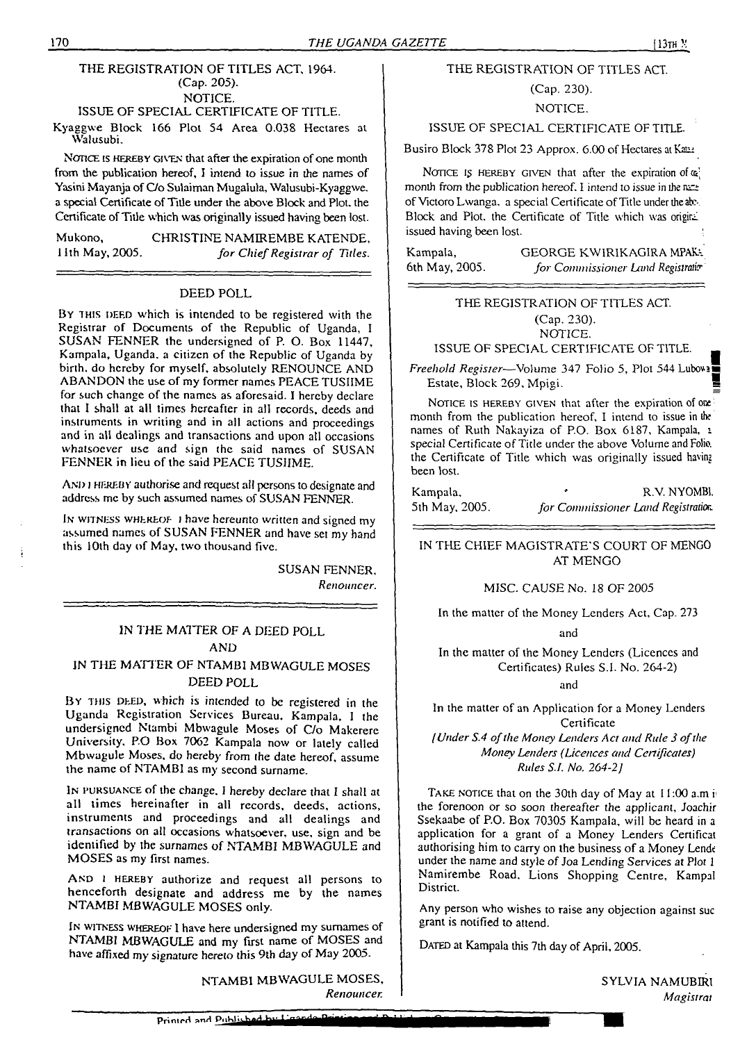### THE REGISTRATION OF TITLES ACT, 1964. (Cap. 205). NOTICE.

### ISSUE OF SPECIAL CERTIFICATE OF TITLE.

Kyaggwe Block 166 Plot 54 Area 0.038 Hectares at Walusubi.

NOTICE IS HEREBY GIVEN that after the expiration of one month from the publication hereof, I intend to issue in the names of Yasini Mayanja ofC/o Sulaiman Mugalula, Walusubi-Kyaggwe. a special Certificate of Title under the above Block and Plot, the Certificate of Title which was originally issued having been lost.

Mukono, CHRISTINE NAMIREMBE KATENDE,<br>I Ith May, 2005. for Chief Registrar of Titles. 11th May, 2005. *for ChiefRegistrar of Titles.*

### DEED POLL

BY THIS DEED which is intended to be registered with the Registrar of Documents of the Republic of Uganda, <sup>I</sup> SUSAN FENNER the undersigned of P. O. Box 11447, Kampala, Uganda, a citizen of the Republic of Uganda by birth, do hereby for myself, absolutely RENOUNCE AND ABANDON the use of my former names PEACE TUSIIME for such change of the names as aforesaid. I hereby declare that I shall at all times hereafter in all records, deeds and instruments in writing and in all actions and proceedings and in all dealings and transactions and upon all occasions whatsoever use and sign the said names of SUSAN FENNER in lieu of the said PEACE TUSIIME.

AND I HEREBY authorise and request all persons to designate and address me by such assumed names of SUSAN FENNER.

In witness whereof *<sup>1</sup>* have hereunto written and signed my assumed names of SUSAN FENNER and have set my hand this 10th day of May, two thousand five.

> SUSAN FENNER. *Renouncer.*

### IN THE MATTER OF A DEED POLL AND

### IN THE MATTER OF NTAMBI MBWAGULE MOSES DEED POLL

BY THIS DEED, which is intended to be registered in the Uganda Registration Services Bureau. Kampala, <sup>I</sup> the undersigned Ntambi Mbwagule Moses of C/o Makerere University. P.O Box 7062 Kampala now or lately called Mbwagule Moses, do hereby from the date hereof, assume the name of NTAMBI as my second surname.

I<sup>n</sup> pursuance of the change. <sup>I</sup> hereby declare that I shall at all times hereinafter in all records, deeds, actions, instruments and proceedings and all dealings and transactions on all occasions whatsoever, use, sign and be identified by the surnames of NTAMBI MBWAGULE and MOSES as my first names.

And <sup>1</sup> hereby authorize and request all persons to henceforth designate and address me by the names NTAMBI MBWAGULE MOSES only.

IN WITNESS WHEREOF I have here undersigned my surnames of NTAMBI MBWAGULE and my first name of MOSES and have affixed my signature hereto this 9th day of May 2005.

> NTAMBI MBWAGULE MOSES, *Renouncer.*

### THE REGISTRATION OF TITLES ACT

### (Cap. 230).

NOTICE.

ISSUE OF SPECIAL CERTIFICATE OF TITLE

Busiro Block 378 Plot 23 Approx. 6.00 of Hectares at Kaia:

NOTICE IS HEREBY GIVEN that after the expiration of  $\omega$ ; month from the publication hereof. I intend to issue in the natalof Victoro Lwanga, a special Certificate of Title under the ab-. Block and Plot, the Certificate of Title which was original issued having been lost.

Kampala, 6th May, 2005. GEORGE KWIRIKAG1RA MPAK-. *for Commissioner Land Registration* 

### THE REGISTRATION OF TITLES ACT. (Cap. 230). NOTICE.

ISSUE OF SPECIAL CERTIFICATE OF TITLE.

*Freehold Register-*—Volume 347 Folio 5, Plot 544 Lubovs■ Estate, Block 269, Mpigi.

NOTICE IS HEREBY GIVEN that after the expiration of one month from the publication hereof, I intend to issue in the names of Ruth Nakayiza of P.O. Box 6187, Kampala, <sup>1</sup> special Certificate of Title under the above Volume and Folio, the Certificate of Title which was originally issued having been lost.

| Kampala,       | R.V. NYOMBI                        |
|----------------|------------------------------------|
| 5th May, 2005. | for Commissioner Land Registration |

IN THE CHIEF MAGISTRATE'S COURT OF MENG0 AT MENGO

#### MISC. CAUSE No. 18 OF 2005

In the matter of the Money Lenders Act, Cap. 273

and

In the matter of the Money Lenders (Licences and Certificates) Rules S.I. No. 264-2)

and

In the matter of an Application for a Money Lenders **Certificate** 

*IUnder S.4 ofthe Money Lenders Act and Rule 3 ofthe Money Lenders (Licences and Certificates) Rules S.I. No. 264-2]*

TAKE NOTICE that on the 30th day of May at I1:00 a.m if the forenoon or so soon thereafter the applicant, Joachir Ssekaabe of P.O. Box 70305 Kampala, will be heard in a application for a grant of a Money Lenders Certificat authorising him to carry on the business of a Money Lende under the name and style of Joa Lending Services at Plot 1 Namirembe Road, Lions Shopping Centre, Kampal District.

Any person who wishes to raise any objection against sue grant is notified to attend.

DATED at Kampala this 7th day of April, 2005.

SYLVIA NAMUBIRI *Magistral*